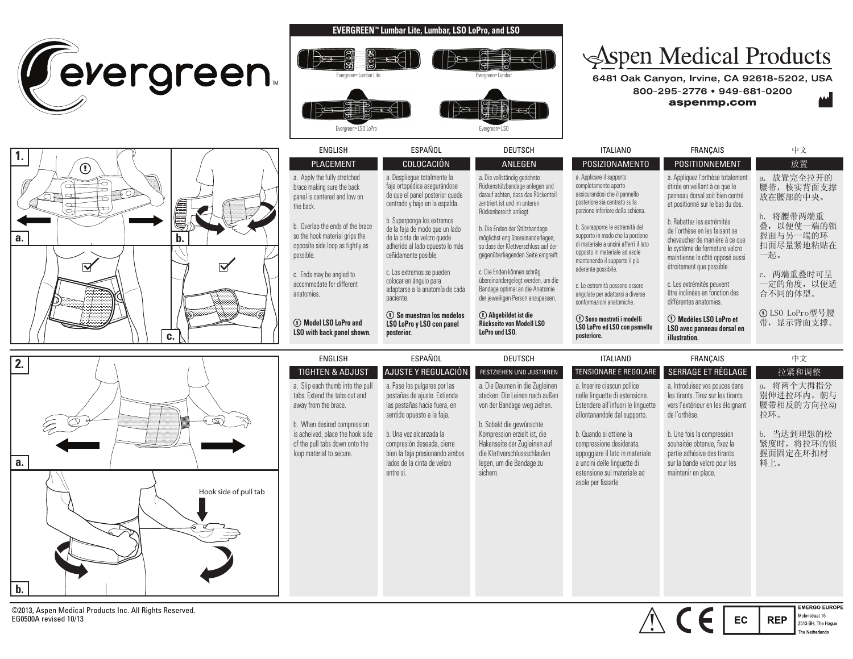





## **EVERGREEN™ Lumbar Lite, Lumbar, LSO LoPro, and LSO**



## Spen Medical Products

6481 Oak Canyon, Irvine, CA 92618-5202, USA 800-295-2776 • 949-681-0200 aspenmp.com

| -uu |  |    |
|-----|--|----|
|     |  | А. |
|     |  |    |

Molenstraat 15

2513 BH, The Hague e Netherlands

**REP** 

| ENGLISH                                                                                                             | ESPAÑOL                                                                                                                                                | DEUTSCH                                                                                                                                                                   | ITALIANO                                                                                                                                                                                              | FRANCAIS                                                                                                                                                                                         | 中文                                                      |
|---------------------------------------------------------------------------------------------------------------------|--------------------------------------------------------------------------------------------------------------------------------------------------------|---------------------------------------------------------------------------------------------------------------------------------------------------------------------------|-------------------------------------------------------------------------------------------------------------------------------------------------------------------------------------------------------|--------------------------------------------------------------------------------------------------------------------------------------------------------------------------------------------------|---------------------------------------------------------|
| <b>PLACEMENT</b>                                                                                                    | COLOCACIÓN                                                                                                                                             | ANLEGEN                                                                                                                                                                   | <b>POSIZIONAMENTO</b>                                                                                                                                                                                 | POSITIONNEMENT                                                                                                                                                                                   | 放置                                                      |
| a. Apply the fully stretched<br>brace making sure the back<br>panel is centered and low on<br>the back.             | a. Desplieque totalmente la<br>faja ortopédica asegurándose<br>de que el panel posterior quede<br>centrado y bajo en la espalda.                       | a. Die vollständig gedehnte<br>Rückenstützbandage anlegen und<br>darauf achten, dass das Rückenteil<br>zentriert ist und im unteren                                       | a. Applicare il supporto<br>completamente aperto<br>assicurandosi che il pannello<br>posteriore sia centrato sulla<br>porzione inferiore della schiena.                                               | a. Appliquez l'orthèse totalement<br>étirée en veillant à ce que le<br>panneau dorsal soit bien centré<br>et positionné sur le bas du dos.                                                       | a. 放置完全拉开的<br>腰带, 核实背面支撑<br>放在腰部的中央。                    |
| b. Overlap the ends of the brace<br>so the hook material grips the<br>opposite side loop as tightly as<br>possible. | b. Superponga los extremos<br>de la faja de modo que un lado<br>de la cinta de velcro quede<br>adherido al lado opuesto lo más<br>ceñidamente posible. | Rückenbereich anliegt.<br>b. Die Enden der Stützbandage<br>möglichst eng übereinanderlegen,<br>so dass der Klettverschluss auf der<br>gegenüberliegenden Seite eingreift. | b. Sovrapporre le estremità del<br>supporto in modo che la porzione<br>di materiale a uncini afferri il lato<br>opposto in materiale ad asole<br>mantenendo il supporto il più<br>aderente possibile. | b. Rabattez les extrémités<br>de l'orthèse en les faisant se<br>chevaucher de manière à ce que<br>le système de fermeture velcro<br>maintienne le côté opposé aussi<br>étroitement que possible. | b. 将腰带两端重<br>叠, 以便使一端的锁<br>握面与另一端的环<br>扣面尽量紧地粘贴在<br>一起。 |
| c. Ends may be angled to<br>accommodate for different<br>anatomies.                                                 | c. Los extremos se pueden<br>colocar en ángulo para<br>adaptarse a la anatomía de cada<br>paciente.                                                    | c. Die Enden können schräg<br>übereinandergelegt werden, um die<br>Bandage optimal an die Anatomie<br>der jeweiligen Person anzupassen.                                   | c. Le estremità possono essere<br>angolate per adattarsi a diverse<br>conformazioni anatomiche.                                                                                                       | c. Les extrémités peuvent<br>être inclinées en fonction des<br>différentes anatomies.                                                                                                            | c. 两端重叠时可呈<br>一定的角度, 以便适<br>合不同的体型。                     |
| (1) Model LSO LoPro and<br>LSO with back panel shown.                                                               | (1) Se muestran los modelos<br>LSO LoPro y LSO con panel<br>posterior.                                                                                 | (1) Abgebildet ist die<br><b>Rückseite von Modell LSO</b><br>LoPro und LSO.                                                                                               | <b>① Sono mostrati i modelli</b><br>LSO LoPro ed LSO con pannello<br>posteriore.                                                                                                                      | <b><i>C</i></b> Modèles LSO LoPro et<br>LSO avec panneau dorsal en<br>illustration.                                                                                                              | ① LS0 LoPro型号腰<br>带, 显示背面支撑。                            |

| <b>ENGLISH</b>                                                                                                                                                                                                             | ESPAÑOL                                                                                                                                                                                                                                                           | <b>DEUTSCH</b>                                                                                                                                                                                                                                                      | <b>ITALIANO</b>                                                                                                                                                                                                                                                                                                    | <b>FRANÇAIS</b>                                                                                                                                                                                                                                                               | 中文                                                                                            |
|----------------------------------------------------------------------------------------------------------------------------------------------------------------------------------------------------------------------------|-------------------------------------------------------------------------------------------------------------------------------------------------------------------------------------------------------------------------------------------------------------------|---------------------------------------------------------------------------------------------------------------------------------------------------------------------------------------------------------------------------------------------------------------------|--------------------------------------------------------------------------------------------------------------------------------------------------------------------------------------------------------------------------------------------------------------------------------------------------------------------|-------------------------------------------------------------------------------------------------------------------------------------------------------------------------------------------------------------------------------------------------------------------------------|-----------------------------------------------------------------------------------------------|
| <b>TIGHTEN &amp; ADJUST</b>                                                                                                                                                                                                | AJUSTE Y REGULACIÓN                                                                                                                                                                                                                                               | FESTZIEHEN UND JUSTIEREN                                                                                                                                                                                                                                            | <b>TENSIONARE E REGOLARE</b>                                                                                                                                                                                                                                                                                       | SERRAGE ET RÉGLAGE                                                                                                                                                                                                                                                            | 拉紧和调整                                                                                         |
| a. Slip each thumb into the pull<br>tabs. Extend the tabs out and<br>away from the brace.<br>b. When desired compression<br>is acheived, place the hook side<br>of the pull tabs down onto the<br>loop material to secure. | a. Pase los pulgares por las<br>pestañas de ajuste. Extienda<br>las pestañas hacia fuera, en<br>sentido opuesto a la faja.<br>b. Una vez alcanzada la<br>compresión deseada, cierre<br>bien la faja presionando ambos<br>lados de la cinta de velcro<br>entre sí. | a. Die Daumen in die Zugleinen<br>stecken. Die Leinen nach außen<br>von der Bandage weg ziehen.<br>b. Sobald die gewünschte<br>Kompression erzielt ist, die<br>Hakenseite der Zugleinen auf<br>die Klettverschlussschlaufen<br>legen, um die Bandage zu<br>sichern. | a. Inserire ciascun pollice<br>nelle linquette di estensione.<br>Estendere all'infuori le linguette<br>allontanandole dal supporto.<br>b. Quando si ottiene la<br>compressione desiderata,<br>appoggiare il lato in materiale<br>a uncini delle linquette di<br>estensione sul materiale ad<br>asole per fissarle. | a. Introduisez vos pouces dans<br>les tirants. Tirez sur les tirants<br>vers l'extérieur en les éloignant<br>de l'orthèse.<br>b. Une fois la compression<br>souhaitée obtenue, fixez la<br>partie adhésive des tirants<br>sur la bande velcro pour les<br>maintenir en place. | 将两个大拇指分<br>a.<br>别伸进拉环内。朝与<br>腰带相反的方向拉动<br>拉环。<br>b. 当达到理想的松<br>紧度时, 将拉环的锁<br>握面固定在环扣材<br>料上。 |
|                                                                                                                                                                                                                            |                                                                                                                                                                                                                                                                   |                                                                                                                                                                                                                                                                     |                                                                                                                                                                                                                                                                                                                    |                                                                                                                                                                                                                                                                               | <b>EMERGO EUROPE</b>                                                                          |

©2013, Aspen Medical Products Inc. All Rights Reserved. EG0500A revised 10/13